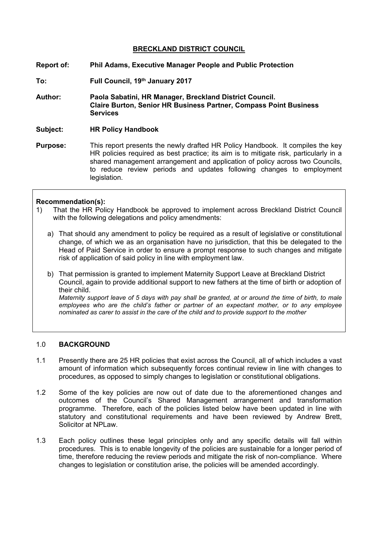## **BRECKLAND DISTRICT COUNCIL**

- **Report of: Phil Adams, Executive Manager People and Public Protection**
- **To: Full Council, 19th January 2017**
- **Author: Paola Sabatini, HR Manager, Breckland District Council. Claire Burton, Senior HR Business Partner, Compass Point Business Services**
- **Subject: HR Policy Handbook**
- **Purpose:** This report presents the newly drafted HR Policy Handbook. It compiles the key HR policies required as best practice; its aim is to mitigate risk, particularly in a shared management arrangement and application of policy across two Councils, to reduce review periods and updates following changes to employment legislation.

### **Recommendation(s):**

- 1) That the HR Policy Handbook be approved to implement across Breckland District Council with the following delegations and policy amendments:
	- a) That should any amendment to policy be required as a result of legislative or constitutional change, of which we as an organisation have no jurisdiction, that this be delegated to the Head of Paid Service in order to ensure a prompt response to such changes and mitigate risk of application of said policy in line with employment law.
	- b) That permission is granted to implement Maternity Support Leave at Breckland District Council, again to provide additional support to new fathers at the time of birth or adoption of their child.

Maternity support leave of 5 days with pay shall be granted, at or around the time of birth, to male *employees who are the child's father or partner of an expectant mother, or to any employee nominated as carer to assist in the care of the child and to provide support to the mother*

## 1.0 **BACKGROUND**

- 1.1 Presently there are 25 HR policies that exist across the Council, all of which includes a vast amount of information which subsequently forces continual review in line with changes to procedures, as opposed to simply changes to legislation or constitutional obligations.
- 1.2 Some of the key policies are now out of date due to the aforementioned changes and outcomes of the Council's Shared Management arrangement and transformation programme. Therefore, each of the policies listed below have been updated in line with statutory and constitutional requirements and have been reviewed by Andrew Brett, Solicitor at NPLaw.
- 1.3 Each policy outlines these legal principles only and any specific details will fall within procedures. This is to enable longevity of the policies are sustainable for a longer period of time, therefore reducing the review periods and mitigate the risk of non-compliance. Where changes to legislation or constitution arise, the policies will be amended accordingly.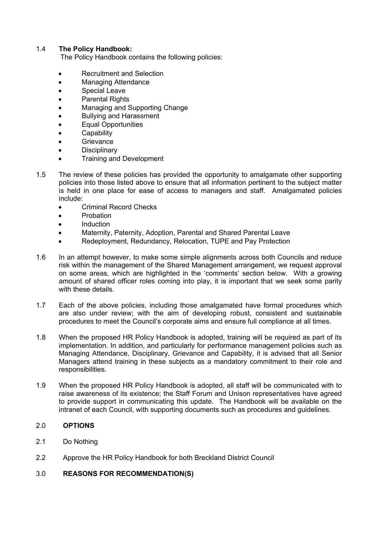# 1.4 **The Policy Handbook:**

The Policy Handbook contains the following policies:

- Recruitment and Selection
- Managing Attendance
- Special Leave
- Parental Rights
- Managing and Supporting Change
- Bullying and Harassment
- Equal Opportunities
- **Capability**
- **Grievance**
- **Disciplinary**
- Training and Development
- 1.5 The review of these policies has provided the opportunity to amalgamate other supporting policies into those listed above to ensure that all information pertinent to the subject matter is held in one place for ease of access to managers and staff. Amalgamated policies include:
	- Criminal Record Checks
	- Probation
	- **Induction**
	- Maternity, Paternity, Adoption, Parental and Shared Parental Leave
	- Redeployment, Redundancy, Relocation, TUPE and Pay Protection
- 1.6 In an attempt however, to make some simple alignments across both Councils and reduce risk within the management of the Shared Management arrangement, we request approval on some areas, which are highlighted in the 'comments' section below. With a growing amount of shared officer roles coming into play, it is important that we seek some parity with these details.
- 1.7 Each of the above policies, including those amalgamated have formal procedures which are also under review; with the aim of developing robust, consistent and sustainable procedures to meet the Council's corporate aims and ensure full compliance at all times.
- 1.8 When the proposed HR Policy Handbook is adopted, training will be required as part of its implementation. In addition, and particularly for performance management policies such as Managing Attendance, Disciplinary, Grievance and Capability, it is advised that all Senior Managers attend training in these subjects as a mandatory commitment to their role and responsibilities.
- 1.9 When the proposed HR Policy Handbook is adopted, all staff will be communicated with to raise awareness of its existence; the Staff Forum and Unison representatives have agreed to provide support in communicating this update. The Handbook will be available on the intranet of each Council, with supporting documents such as procedures and guidelines.

## 2.0 **OPTIONS**

- 2.1 Do Nothing
- 2.2 Approve the HR Policy Handbook for both Breckland District Council

## 3.0 **REASONS FOR RECOMMENDATION(S)**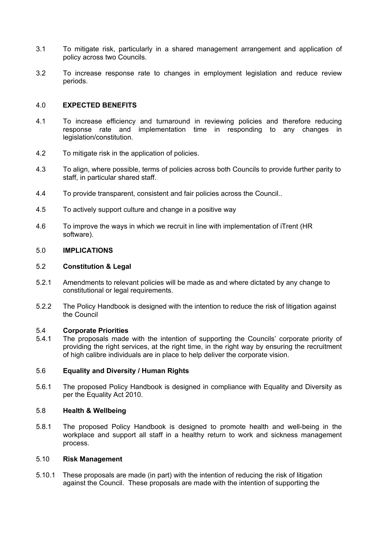- 3.1 To mitigate risk, particularly in a shared management arrangement and application of policy across two Councils.
- 3.2 To increase response rate to changes in employment legislation and reduce review periods.

## 4.0 **EXPECTED BENEFITS**

- 4.1 To increase efficiency and turnaround in reviewing policies and therefore reducing response rate and implementation time in responding to any changes in legislation/constitution.
- 4.2 To mitigate risk in the application of policies.
- 4.3 To align, where possible, terms of policies across both Councils to provide further parity to staff, in particular shared staff.
- 4.4 To provide transparent, consistent and fair policies across the Council..
- 4.5 To actively support culture and change in a positive way
- 4.6 To improve the ways in which we recruit in line with implementation of iTrent (HR software).

### 5.0 **IMPLICATIONS**

#### 5.2 **Constitution & Legal**

- 5.2.1 Amendments to relevant policies will be made as and where dictated by any change to constitutional or legal requirements.
- 5.2.2 The Policy Handbook is designed with the intention to reduce the risk of litigation against the Council

#### 5.4 **Corporate Priorities**

5.4.1 The proposals made with the intention of supporting the Councils' corporate priority of providing the right services, at the right time, in the right way by ensuring the recruitment of high calibre individuals are in place to help deliver the corporate vision.

### 5.6 **Equality and Diversity / Human Rights**

5.6.1 The proposed Policy Handbook is designed in compliance with Equality and Diversity as per the Equality Act 2010.

#### 5.8 **Health & Wellbeing**

5.8.1 The proposed Policy Handbook is designed to promote health and well-being in the workplace and support all staff in a healthy return to work and sickness management process.

### 5.10 **Risk Management**

5.10.1 These proposals are made (in part) with the intention of reducing the risk of litigation against the Council. These proposals are made with the intention of supporting the